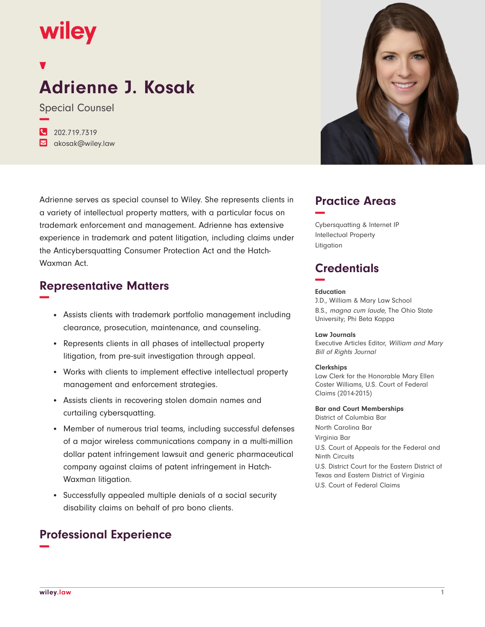## **wiley**

# **Adrienne J. Kosak**

Special Counsel **−**

| 202.719.7319     |
|------------------|
| akosak@wiley.law |

Adrienne serves as special counsel to Wiley. She represents clients in a variety of intellectual property matters, with a particular focus on trademark enforcement and management. Adrienne has extensive experience in trademark and patent litigation, including claims under the Anticybersquatting Consumer Protection Act and the Hatch-Waxman Act.

## **Representative Matters −**

- Assists clients with trademark portfolio management including clearance, prosecution, maintenance, and counseling.
- Represents clients in all phases of intellectual property litigation, from pre-suit investigation through appeal.
- Works with clients to implement effective intellectual property management and enforcement strategies.
- Assists clients in recovering stolen domain names and curtailing cybersquatting.
- Member of numerous trial teams, including successful defenses of a major wireless communications company in a multi-million dollar patent infringement lawsuit and generic pharmaceutical company against claims of patent infringement in Hatch-Waxman litigation.
- Successfully appealed multiple denials of a social security disability claims on behalf of pro bono clients.

## **Professional Experience −**



## **Practice Areas −**

Cybersquatting & Internet IP Intellectual Property Litigation

## **Credentials −**

#### **Education**

J.D., William & Mary Law School B.S., magna cum laude, The Ohio State University; Phi Beta Kappa

#### **Law Journals**

Executive Articles Editor, William and Mary Bill of Rights Journal

#### **Clerkships**

Law Clerk for the Honorable Mary Ellen Coster Williams, U.S. Court of Federal Claims (2014-2015)

#### **Bar and Court Memberships**

District of Columbia Bar North Carolina Bar Virginia Bar U.S. Court of Appeals for the Federal and Ninth Circuits U.S. District Court for the Eastern District of Texas and Eastern District of Virginia U.S. Court of Federal Claims